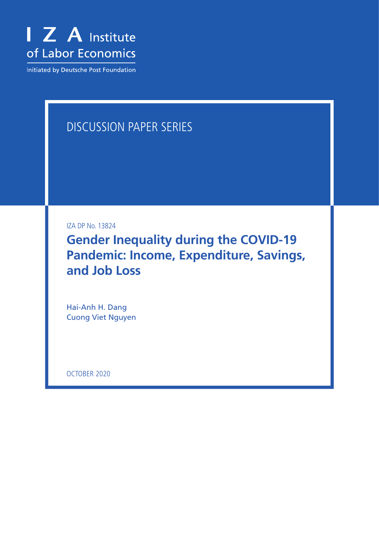

Initiated by Deutsche Post Foundation

# DISCUSSION PAPER SERIES

IZA DP No. 13824

**Gender Inequality during the COVID-19 Pandemic: Income, Expenditure, Savings, and Job Loss**

Hai-Anh H. Dang Cuong Viet Nguyen

OCTOBER 2020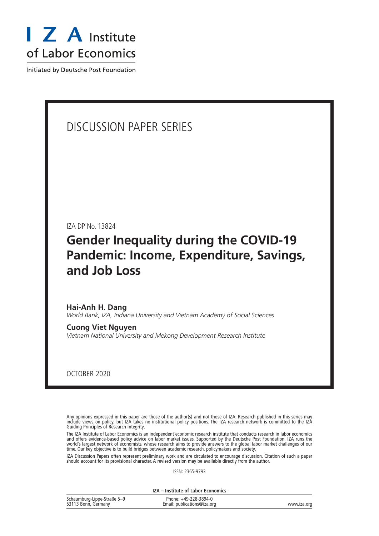

Initiated by Deutsche Post Foundation

# DISCUSSION PAPER SERIES

IZA DP No. 13824

# **Gender Inequality during the COVID-19 Pandemic: Income, Expenditure, Savings, and Job Loss**

**Hai-Anh H. Dang** *World Bank, IZA, Indiana University and Vietnam Academy of Social Sciences*

**Cuong Viet Nguyen** *Vietnam National University and Mekong Development Research Institute*

OCTOBER 2020

Any opinions expressed in this paper are those of the author(s) and not those of IZA. Research published in this series may include views on policy, but IZA takes no institutional policy positions. The IZA research network is committed to the IZA Guiding Principles of Research Integrity.

The IZA Institute of Labor Economics is an independent economic research institute that conducts research in labor economics and offers evidence-based policy advice on labor market issues. Supported by the Deutsche Post Foundation, IZA runs the world's largest network of economists, whose research aims to provide answers to the global labor market challenges of our time. Our key objective is to build bridges between academic research, policymakers and society.

IZA Discussion Papers often represent preliminary work and are circulated to encourage discussion. Citation of such a paper should account for its provisional character. A revised version may be available directly from the author.

ISSN: 2365-9793

**IZA – Institute of Labor Economics**

| Schaumburg-Lippe-Straße 5-9 | Phone: +49-228-3894-0       |             |
|-----------------------------|-----------------------------|-------------|
| 53113 Bonn, Germany         | Email: publications@iza.org | www.iza.org |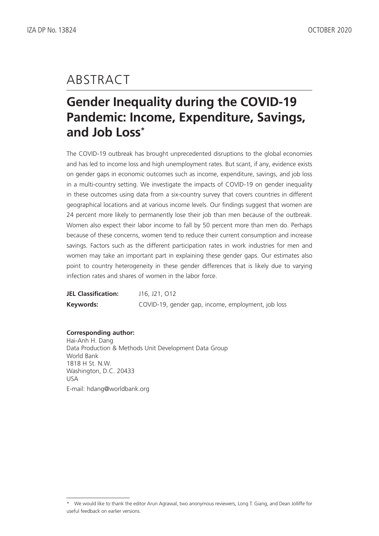# ABSTRACT

# **Gender Inequality during the COVID-19 Pandemic: Income, Expenditure, Savings, and Job Loss\***

The COVID-19 outbreak has brought unprecedented disruptions to the global economies and has led to income loss and high unemployment rates. But scant, if any, evidence exists on gender gaps in economic outcomes such as income, expenditure, savings, and job loss in a multi-country setting. We investigate the impacts of COVID-19 on gender inequality in these outcomes using data from a six-country survey that covers countries in different geographical locations and at various income levels. Our findings suggest that women are 24 percent more likely to permanently lose their job than men because of the outbreak. Women also expect their labor income to fall by 50 percent more than men do. Perhaps because of these concerns, women tend to reduce their current consumption and increase savings. Factors such as the different participation rates in work industries for men and women may take an important part in explaining these gender gaps. Our estimates also point to country heterogeneity in these gender differences that is likely due to varying infection rates and shares of women in the labor force.

| <b>JEL Classification:</b> | J16, J21, O12                                      |
|----------------------------|----------------------------------------------------|
| Keywords:                  | COVID-19, gender gap, income, employment, job loss |

### **Corresponding author:**

Hai-Anh H. Dang Data Production & Methods Unit Development Data Group World Bank 1818 H St. N.W. Washington, D.C. 20433 USA E-mail: hdang@worldbank.org

<sup>\*</sup> We would like to thank the editor Arun Agrawal, two anonymous reviewers, Long T. Giang, and Dean Jolliffe for useful feedback on earlier versions.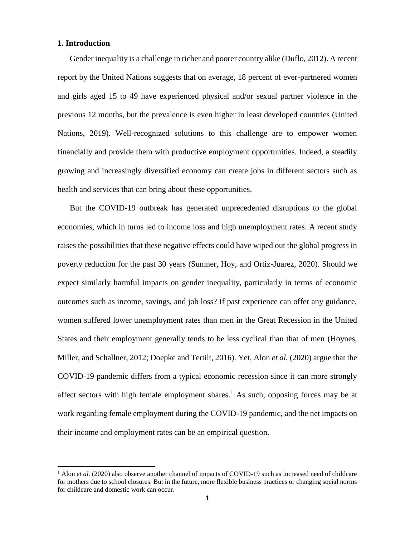#### **1. Introduction**

 $\overline{a}$ 

Gender inequality is a challenge in richer and poorer country alike (Duflo, 2012). A recent report by the United Nations suggests that on average, 18 percent of ever-partnered women and girls aged 15 to 49 have experienced physical and/or sexual partner violence in the previous 12 months, but the prevalence is even higher in least developed countries (United Nations, 2019). Well-recognized solutions to this challenge are to empower women financially and provide them with productive employment opportunities. Indeed, a steadily growing and increasingly diversified economy can create jobs in different sectors such as health and services that can bring about these opportunities.

But the COVID-19 outbreak has generated unprecedented disruptions to the global economies, which in turns led to income loss and high unemployment rates. A recent study raises the possibilities that these negative effects could have wiped out the global progress in poverty reduction for the past 30 years (Sumner, Hoy, and Ortiz-Juarez, 2020). Should we expect similarly harmful impacts on gender inequality, particularly in terms of economic outcomes such as income, savings, and job loss? If past experience can offer any guidance, women suffered lower unemployment rates than men in the Great Recession in the United States and their employment generally tends to be less cyclical than that of men (Hoynes, Miller, and Schallner, 2012; Doepke and Tertilt, 2016). Yet, Alon *et al.* (2020) argue that the COVID-19 pandemic differs from a typical economic recession since it can more strongly affect sectors with high female employment shares.<sup>1</sup> As such, opposing forces may be at work regarding female employment during the COVID-19 pandemic, and the net impacts on their income and employment rates can be an empirical question.

<sup>&</sup>lt;sup>1</sup> Alon *et al.* (2020) also observe another channel of impacts of COVID-19 such as increased need of childcare for mothers due to school closures. But in the future, more flexible business practices or changing social norms for childcare and domestic work can occur.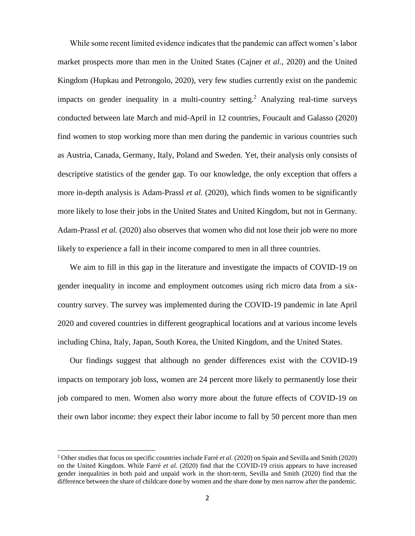While some recent limited evidence indicates that the pandemic can affect women's labor market prospects more than men in the United States (Cajner *et al.*, 2020) and the United Kingdom (Hupkau and Petrongolo, 2020), very few studies currently exist on the pandemic impacts on gender inequality in a multi-country setting.<sup>2</sup> Analyzing real-time surveys conducted between late March and mid-April in 12 countries, Foucault and Galasso (2020) find women to stop working more than men during the pandemic in various countries such as Austria, Canada, Germany, Italy, Poland and Sweden. Yet, their analysis only consists of descriptive statistics of the gender gap. To our knowledge, the only exception that offers a more in-depth analysis is Adam-Prassl *et al.* (2020), which finds women to be significantly more likely to lose their jobs in the United States and United Kingdom, but not in Germany. Adam-Prassl *et al.* (2020) also observes that women who did not lose their job were no more likely to experience a fall in their income compared to men in all three countries.

We aim to fill in this gap in the literature and investigate the impacts of COVID-19 on gender inequality in income and employment outcomes using rich micro data from a sixcountry survey. The survey was implemented during the COVID-19 pandemic in late April 2020 and covered countries in different geographical locations and at various income levels including China, Italy, Japan, South Korea, the United Kingdom, and the United States.

Our findings suggest that although no gender differences exist with the COVID-19 impacts on temporary job loss, women are 24 percent more likely to permanently lose their job compared to men. Women also worry more about the future effects of COVID-19 on their own labor income: they expect their labor income to fall by 50 percent more than men

 $\overline{a}$ 

<sup>2</sup> Other studies that focus on specific countries include Farré *et al.* (2020) on Spain and Sevilla and Smith (2020) on the United Kingdom. While Farré *et al.* (2020) find that the COVID-19 crisis appears to have increased gender inequalities in both paid and unpaid work in the short-term, Sevilla and Smith (2020) find that the difference between the share of childcare done by women and the share done by men narrow after the pandemic.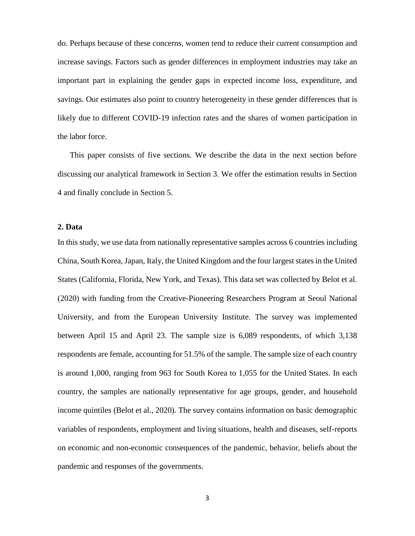do. Perhaps because of these concerns, women tend to reduce their current consumption and increase savings. Factors such as gender differences in employment industries may take an important part in explaining the gender gaps in expected income loss, expenditure, and savings. Our estimates also point to country heterogeneity in these gender differences that is likely due to different COVID-19 infection rates and the shares of women participation in the labor force.

This paper consists of five sections. We describe the data in the next section before discussing our analytical framework in Section 3. We offer the estimation results in Section 4 and finally conclude in Section 5.

#### **2. Data**

In this study, we use data from nationally representative samples across 6 countries including China, South Korea, Japan, Italy, the United Kingdom and the four largest states in the United States (California, Florida, New York, and Texas). This data set was collected by Belot et al. (2020) with funding from the Creative-Pioneering Researchers Program at Seoul National University, and from the European University Institute. The survey was implemented between April 15 and April 23. The sample size is 6,089 respondents, of which 3,138 respondents are female, accounting for 51.5% of the sample. The sample size of each country is around 1,000, ranging from 963 for South Korea to 1,055 for the United States. In each country, the samples are nationally representative for age groups, gender, and household income quintiles (Belot et al., 2020). The survey contains information on basic demographic variables of respondents, employment and living situations, health and diseases, self-reports on economic and non-economic consequences of the pandemic, behavior, beliefs about the pandemic and responses of the governments.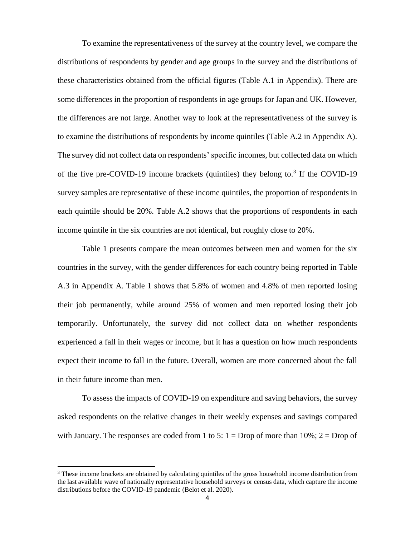To examine the representativeness of the survey at the country level, we compare the distributions of respondents by gender and age groups in the survey and the distributions of these characteristics obtained from the official figures (Table A.1 in Appendix). There are some differences in the proportion of respondents in age groups for Japan and UK. However, the differences are not large. Another way to look at the representativeness of the survey is to examine the distributions of respondents by income quintiles (Table A.2 in Appendix A). The survey did not collect data on respondents' specific incomes, but collected data on which of the five pre-COVID-19 income brackets (quintiles) they belong to.<sup>3</sup> If the COVID-19 survey samples are representative of these income quintiles, the proportion of respondents in each quintile should be 20%. Table A.2 shows that the proportions of respondents in each income quintile in the six countries are not identical, but roughly close to 20%.

Table 1 presents compare the mean outcomes between men and women for the six countries in the survey, with the gender differences for each country being reported in Table A.3 in Appendix A. Table 1 shows that 5.8% of women and 4.8% of men reported losing their job permanently, while around 25% of women and men reported losing their job temporarily. Unfortunately, the survey did not collect data on whether respondents experienced a fall in their wages or income, but it has a question on how much respondents expect their income to fall in the future. Overall, women are more concerned about the fall in their future income than men.

To assess the impacts of COVID-19 on expenditure and saving behaviors, the survey asked respondents on the relative changes in their weekly expenses and savings compared with January. The responses are coded from 1 to 5:  $1 =$  Drop of more than  $10\%$ ;  $2 =$  Drop of

 $\overline{a}$ 

<sup>&</sup>lt;sup>3</sup> These income brackets are obtained by calculating quintiles of the gross household income distribution from the last available wave of nationally representative household surveys or census data, which capture the income distributions before the COVID-19 pandemic (Belot et al. 2020).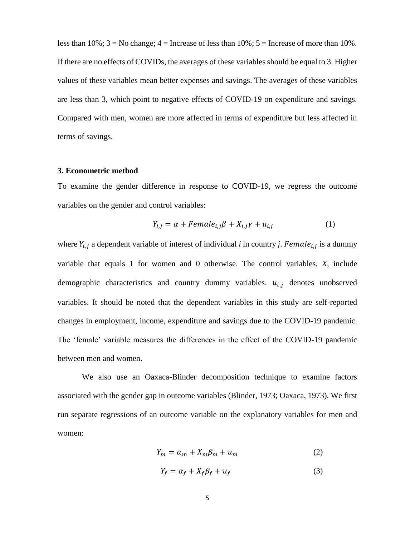less than  $10\%$ ;  $3 =$  No change;  $4 =$  Increase of less than  $10\%$ ;  $5 =$  Increase of more than  $10\%$ . If there are no effects of COVIDs, the averages of these variables should be equal to 3. Higher values of these variables mean better expenses and savings. The averages of these variables are less than 3, which point to negative effects of COVID-19 on expenditure and savings. Compared with men, women are more affected in terms of expenditure but less affected in terms of savings.

#### **3. Econometric method**

To examine the gender difference in response to COVID-19, we regress the outcome variables on the gender and control variables:

$$
Y_{i,j} = \alpha + Female_{i,j}\beta + X_{i,j}\gamma + u_{i,j}
$$
 (1)

where  $Y_{i,j}$  a dependent variable of interest of individual *i* in country *j*. Female<sub>i,j</sub> is a dummy variable that equals 1 for women and 0 otherwise. The control variables, *X*, include demographic characteristics and country dummy variables.  $u_{i,j}$  denotes unobserved variables. It should be noted that the dependent variables in this study are self-reported changes in employment, income, expenditure and savings due to the COVID-19 pandemic. The 'female' variable measures the differences in the effect of the COVID-19 pandemic between men and women.

We also use an Oaxaca-Blinder decomposition technique to examine factors associated with the gender gap in outcome variables (Blinder, 1973; Oaxaca, 1973). We first run separate regressions of an outcome variable on the explanatory variables for men and women:

$$
Y_m = \alpha_m + X_m \beta_m + u_m \tag{2}
$$

$$
Y_f = \alpha_f + X_f \beta_f + u_f \tag{3}
$$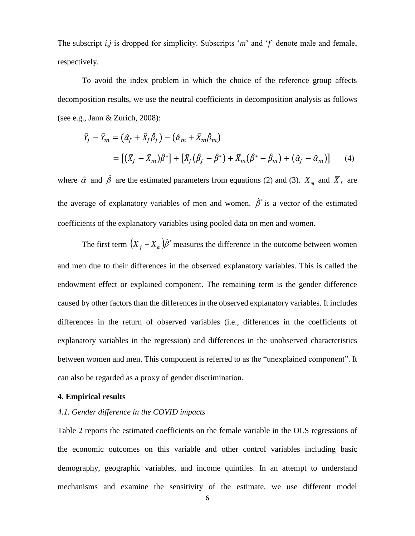The subscript *i,j* is dropped for simplicity. Subscripts '*m*' and '*f*' denote male and female, respectively.

To avoid the index problem in which the choice of the reference group affects decomposition results, we use the neutral coefficients in decomposition analysis as follows (see e.g., Jann & Zurich, 2008):

$$
\bar{Y}_f - \bar{Y}_m = (\hat{\alpha}_f + \bar{X}_f \hat{\beta}_f) - (\hat{\alpha}_m + \bar{X}_m \hat{\beta}_m)
$$
  
= 
$$
[(\bar{X}_f - \bar{X}_m)\hat{\beta}^*] + [\bar{X}_f(\hat{\beta}_f - \hat{\beta}^*) + \bar{X}_m(\hat{\beta}^* - \hat{\beta}_m) + (\hat{\alpha}_f - \hat{\alpha}_m)]
$$
 (4)

where  $\hat{\alpha}$  and  $\hat{\beta}$  are the estimated parameters from equations (2) and (3).  $\overline{X}_m$  and  $\overline{X}_f$  are the average of explanatory variables of men and women.  $\hat{\beta}^*$  is a vector of the estimated coefficients of the explanatory variables using pooled data on men and women.

The first term  $(\bar{X}_f - \bar{X}_m)\hat{\beta}^*$  measures the difference in the outcome between women and men due to their differences in the observed explanatory variables. This is called the endowment effect or explained component. The remaining term is the gender difference caused by other factors than the differences in the observed explanatory variables. It includes differences in the return of observed variables (i.e., differences in the coefficients of explanatory variables in the regression) and differences in the unobserved characteristics between women and men. This component is referred to as the "unexplained component". It can also be regarded as a proxy of gender discrimination.

#### **4. Empirical results**

#### *4.1. Gender difference in the COVID impacts*

Table 2 reports the estimated coefficients on the female variable in the OLS regressions of the economic outcomes on this variable and other control variables including basic demography, geographic variables, and income quintiles. In an attempt to understand mechanisms and examine the sensitivity of the estimate, we use different model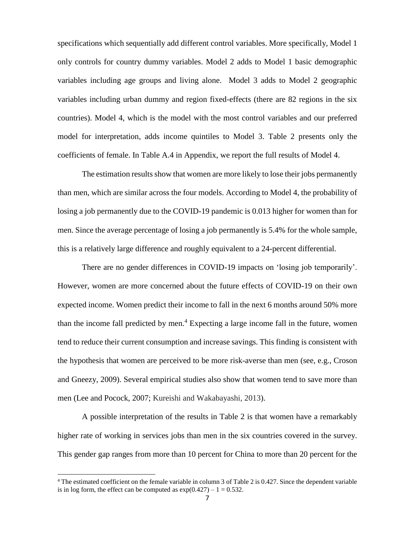specifications which sequentially add different control variables. More specifically, Model 1 only controls for country dummy variables. Model 2 adds to Model 1 basic demographic variables including age groups and living alone. Model 3 adds to Model 2 geographic variables including urban dummy and region fixed-effects (there are 82 regions in the six countries). Model 4, which is the model with the most control variables and our preferred model for interpretation, adds income quintiles to Model 3. Table 2 presents only the coefficients of female. In Table A.4 in Appendix, we report the full results of Model 4.

The estimation results show that women are more likely to lose their jobs permanently than men, which are similar across the four models. According to Model 4, the probability of losing a job permanently due to the COVID-19 pandemic is 0.013 higher for women than for men. Since the average percentage of losing a job permanently is 5.4% for the whole sample, this is a relatively large difference and roughly equivalent to a 24-percent differential.

There are no gender differences in COVID-19 impacts on 'losing job temporarily'. However, women are more concerned about the future effects of COVID-19 on their own expected income. Women predict their income to fall in the next 6 months around 50% more than the income fall predicted by men. <sup>4</sup> Expecting a large income fall in the future, women tend to reduce their current consumption and increase savings. This finding is consistent with the hypothesis that women are perceived to be more risk-averse than men (see, e.g., Croson and Gneezy, 2009). Several empirical studies also show that women tend to save more than men (Lee and Pocock, 2007; Kureishi and Wakabayashi, 2013).

A possible interpretation of the results in Table 2 is that women have a remarkably higher rate of working in services jobs than men in the six countries covered in the survey. This gender gap ranges from more than 10 percent for China to more than 20 percent for the

 $\overline{a}$ 

<sup>4</sup> The estimated coefficient on the female variable in column 3 of Table 2 is 0.427. Since the dependent variable is in log form, the effect can be computed as  $exp(0.427) - 1 = 0.532$ .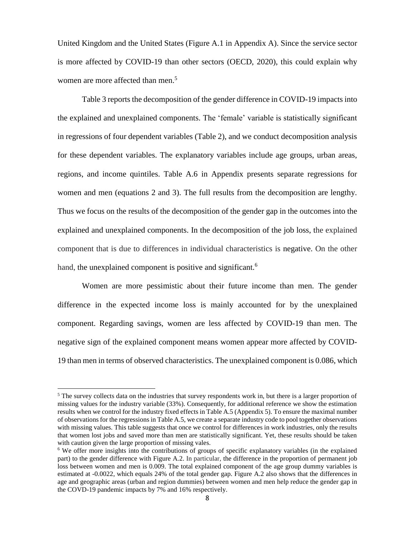United Kingdom and the United States (Figure A.1 in Appendix A). Since the service sector is more affected by COVID-19 than other sectors (OECD, 2020), this could explain why women are more affected than men. 5

Table 3 reports the decomposition of the gender difference in COVID-19 impacts into the explained and unexplained components. The 'female' variable is statistically significant in regressions of four dependent variables (Table 2), and we conduct decomposition analysis for these dependent variables. The explanatory variables include age groups, urban areas, regions, and income quintiles. Table A.6 in Appendix presents separate regressions for women and men (equations 2 and 3). The full results from the decomposition are lengthy. Thus we focus on the results of the decomposition of the gender gap in the outcomes into the explained and unexplained components. In the decomposition of the job loss, the explained component that is due to differences in individual characteristics is negative. On the other hand, the unexplained component is positive and significant.<sup>6</sup>

Women are more pessimistic about their future income than men. The gender difference in the expected income loss is mainly accounted for by the unexplained component. Regarding savings, women are less affected by COVID-19 than men. The negative sign of the explained component means women appear more affected by COVID-19 than men in terms of observed characteristics. The unexplained component is 0.086, which

 $\overline{a}$ 

<sup>&</sup>lt;sup>5</sup> The survey collects data on the industries that survey respondents work in, but there is a larger proportion of missing values for the industry variable (33%). Consequently, for additional reference we show the estimation results when we control for the industry fixed effects in Table A.5 (Appendix 5). To ensure the maximal number of observations for the regressions in Table A.5, we create a separate industry code to pool together observations with missing values. This table suggests that once we control for differences in work industries, only the results that women lost jobs and saved more than men are statistically significant. Yet, these results should be taken with caution given the large proportion of missing vales.

<sup>&</sup>lt;sup>6</sup> We offer more insights into the contributions of groups of specific explanatory variables (in the explained part) to the gender difference with Figure A.2. In particular, the difference in the proportion of permanent job loss between women and men is 0.009. The total explained component of the age group dummy variables is estimated at -0.0022, which equals 24% of the total gender gap. Figure A.2 also shows that the differences in age and geographic areas (urban and region dummies) between women and men help reduce the gender gap in the COVD-19 pandemic impacts by 7% and 16% respectively.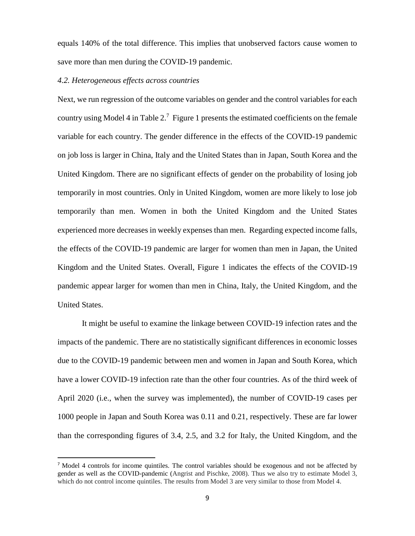equals 140% of the total difference. This implies that unobserved factors cause women to save more than men during the COVID-19 pandemic.

#### *4.2. Heterogeneous effects across countries*

 $\overline{a}$ 

Next, we run regression of the outcome variables on gender and the control variables for each country using Model 4 in Table  $2<sup>7</sup>$  Figure 1 presents the estimated coefficients on the female variable for each country. The gender difference in the effects of the COVID-19 pandemic on job loss is larger in China, Italy and the United States than in Japan, South Korea and the United Kingdom. There are no significant effects of gender on the probability of losing job temporarily in most countries. Only in United Kingdom, women are more likely to lose job temporarily than men. Women in both the United Kingdom and the United States experienced more decreases in weekly expenses than men. Regarding expected income falls, the effects of the COVID-19 pandemic are larger for women than men in Japan, the United Kingdom and the United States. Overall, Figure 1 indicates the effects of the COVID-19 pandemic appear larger for women than men in China, Italy, the United Kingdom, and the United States.

It might be useful to examine the linkage between COVID-19 infection rates and the impacts of the pandemic. There are no statistically significant differences in economic losses due to the COVID-19 pandemic between men and women in Japan and South Korea, which have a lower COVID-19 infection rate than the other four countries. As of the third week of April 2020 (i.e., when the survey was implemented), the number of COVID-19 cases per 1000 people in Japan and South Korea was 0.11 and 0.21, respectively. These are far lower than the corresponding figures of 3.4, 2.5, and 3.2 for Italy, the United Kingdom, and the

<sup>7</sup> Model 4 controls for income quintiles. The control variables should be exogenous and not be affected by gender as well as the COVID-pandemic (Angrist and Pischke, 2008). Thus we also try to estimate Model 3, which do not control income quintiles. The results from Model 3 are very similar to those from Model 4.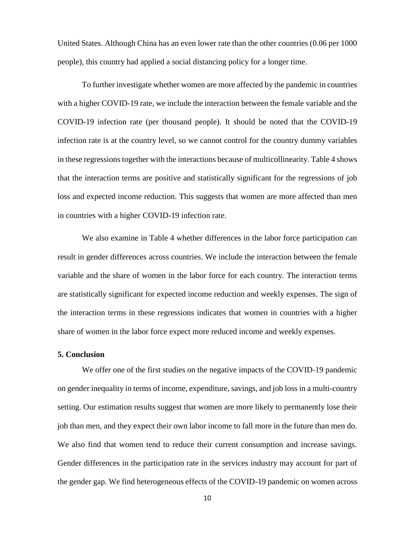United States. Although China has an even lower rate than the other countries (0.06 per 1000 people), this country had applied a social distancing policy for a longer time.

To further investigate whether women are more affected by the pandemic in countries with a higher COVID-19 rate, we include the interaction between the female variable and the COVID-19 infection rate (per thousand people). It should be noted that the COVID-19 infection rate is at the country level, so we cannot control for the country dummy variables in these regressions together with the interactions because of multicollinearity. Table 4 shows that the interaction terms are positive and statistically significant for the regressions of job loss and expected income reduction. This suggests that women are more affected than men in countries with a higher COVID-19 infection rate.

We also examine in Table 4 whether differences in the labor force participation can result in gender differences across countries. We include the interaction between the female variable and the share of women in the labor force for each country. The interaction terms are statistically significant for expected income reduction and weekly expenses. The sign of the interaction terms in these regressions indicates that women in countries with a higher share of women in the labor force expect more reduced income and weekly expenses.

#### **5. Conclusion**

We offer one of the first studies on the negative impacts of the COVID-19 pandemic on gender inequality in terms of income, expenditure, savings, and job loss in a multi-country setting. Our estimation results suggest that women are more likely to permanently lose their job than men, and they expect their own labor income to fall more in the future than men do. We also find that women tend to reduce their current consumption and increase savings. Gender differences in the participation rate in the services industry may account for part of the gender gap. We find heterogeneous effects of the COVID-19 pandemic on women across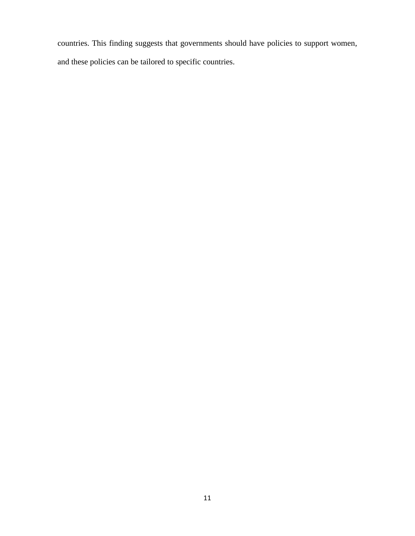countries. This finding suggests that governments should have policies to support women,

and these policies can be tailored to specific countries.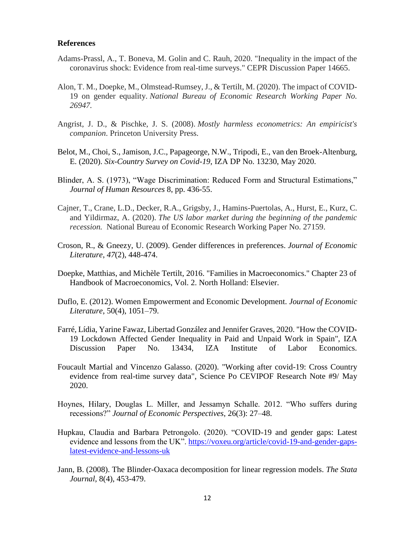#### **References**

- Adams-Prassl, A., T. Boneva, M. Golin and C. Rauh, 2020. "Inequality in the impact of the coronavirus shock: Evidence from real-time surveys." CEPR Discussion Paper 14665.
- Alon, T. M., Doepke, M., Olmstead-Rumsey, J., & Tertilt, M. (2020). The impact of COVID-19 on gender equality. *National Bureau of Economic Research Working Paper No. 26947.*
- Angrist, J. D., & Pischke, J. S. (2008). *Mostly harmless econometrics: An empiricist's companion*. Princeton University Press.
- Belot, M., Choi, S., Jamison, J.C., Papageorge, N.W., Tripodi, E., van den Broek-Altenburg, E. (2020). *Six-Country Survey on Covid-19*, IZA DP No. 13230, May 2020.
- Blinder, A. S. (1973), "Wage Discrimination: Reduced Form and Structural Estimations," *Journal of Human Resources* 8, pp. 436-55.
- Cajner, T., Crane, L.D., Decker, R.A., Grigsby, J., Hamins-Puertolas, A., Hurst, E., Kurz, C. and Yildirmaz, A. (2020). *The US labor market during the beginning of the pandemic recession.* National Bureau of Economic Research Working Paper No. 27159.
- Croson, R., & Gneezy, U. (2009). Gender differences in preferences. *Journal of Economic Literature*, *47*(2), 448-474.
- Doepke, Matthias, and Michèle Tertilt, 2016. "Families in Macroeconomics." Chapter 23 of Handbook of Macroeconomics, Vol. 2. North Holland: Elsevier.
- Duflo, E. (2012). Women Empowerment and Economic Development. *Journal of Economic Literature*, 50(4), 1051–79.
- Farré, Lídia, Yarine Fawaz, Libertad González and Jennifer Graves, 2020. "How the COVID-19 Lockdown Affected Gender Inequality in Paid and Unpaid Work in Spain", IZA Discussion Paper No. 13434, IZA Institute of Labor Economics.
- Foucault Martial and Vincenzo Galasso. (2020). "Working after covid-19: Cross Country evidence from real-time survey data", Science Po CEVIPOF Research Note #9/ May 2020.
- Hoynes, Hilary, Douglas L. Miller, and Jessamyn Schalle. 2012. "Who suffers during recessions?" *Journal of Economic Perspectives*, 26(3): 27–48.
- Hupkau, Claudia and Barbara Petrongolo. (2020). "COVID-19 and gender gaps: Latest evidence and lessons from the UK". [https://voxeu.org/article/covid-19-and-gender-gaps](https://voxeu.org/article/covid-19-and-gender-gaps-latest-evidence-and-lessons-uk)[latest-evidence-and-lessons-uk](https://voxeu.org/article/covid-19-and-gender-gaps-latest-evidence-and-lessons-uk)
- Jann, B. (2008). The Blinder-Oaxaca decomposition for linear regression models. *The Stata Journal*, 8(4), 453-479.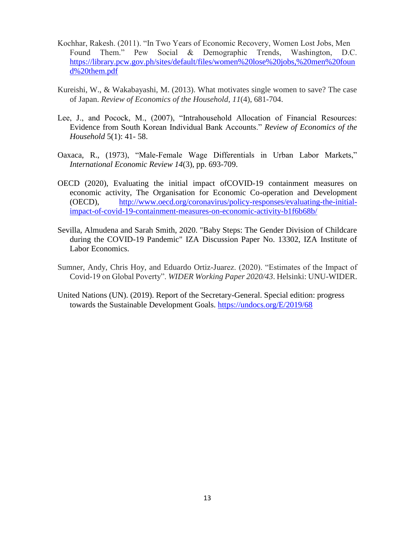- Kochhar, Rakesh. (2011). "In Two Years of Economic Recovery, Women Lost Jobs, Men Found Them." Pew Social & Demographic Trends, Washington, D.C. [https://library.pcw.gov.ph/sites/default/files/women%20lose%20jobs,%20men%20foun](https://library.pcw.gov.ph/sites/default/files/women%20lose%20jobs,%20men%20found%20them.pdf) [d%20them.pdf](https://library.pcw.gov.ph/sites/default/files/women%20lose%20jobs,%20men%20found%20them.pdf)
- Kureishi, W., & Wakabayashi, M. (2013). What motivates single women to save? The case of Japan. *Review of Economics of the Household*, *11*(4), 681-704.
- Lee, J., and Pocock, M., (2007), "Intrahousehold Allocation of Financial Resources: Evidence from South Korean Individual Bank Accounts." *Review of Economics of the Household* 5(1): 41- 58.
- Oaxaca, R., (1973), "Male-Female Wage Differentials in Urban Labor Markets," *International Economic Review 14*(3), pp. 693-709.
- OECD (2020), Evaluating the initial impact ofCOVID-19 containment measures on economic activity, The Organisation for Economic Co-operation and Development (OECD), [http://www.oecd.org/coronavirus/policy-responses/evaluating-the-initial](http://www.oecd.org/coronavirus/policy-responses/evaluating-the-initial-impact-of-covid-19-containment-measures-on-economic-activity-b1f6b68b/)[impact-of-covid-19-containment-measures-on-economic-activity-b1f6b68b/](http://www.oecd.org/coronavirus/policy-responses/evaluating-the-initial-impact-of-covid-19-containment-measures-on-economic-activity-b1f6b68b/)
- Sevilla, Almudena and Sarah Smith, 2020. "Baby Steps: The Gender Division of Childcare during the COVID-19 Pandemic" IZA Discussion Paper No. 13302, IZA Institute of Labor Economics.
- Sumner, Andy, Chris Hoy, and Eduardo Ortiz-Juarez. (2020). "Estimates of the Impact of Covid-19 on Global Poverty". *WIDER Working Paper 2020/43*. Helsinki: UNU-WIDER.
- United Nations (UN). (2019). Report of the Secretary-General. Special edition: progress towards the Sustainable Development Goals.<https://undocs.org/E/2019/68>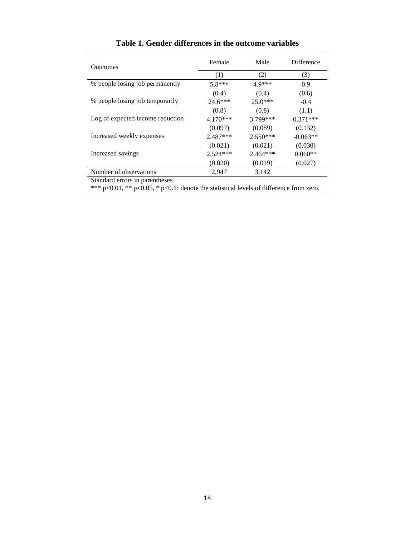| Outcomes                         | Female     | Male       | Difference |
|----------------------------------|------------|------------|------------|
|                                  | (1)        | (2)        | (3)        |
| % people losing job permanently  | $5.8***$   | $4.9***$   | 0.9        |
|                                  | (0.4)      | (0.4)      | (0.6)      |
| % people losing job temporarily  | $24.6***$  | $25.0***$  | $-0.4$     |
|                                  | (0.8)      | (0.8)      | (1.1)      |
| Log of expected income reduction | $4.170***$ | $3.799***$ | $0.371***$ |
|                                  | (0.097)    | (0.089)    | (0.132)    |
| Increased weekly expenses        | $2.487***$ | $2.550***$ | $-0.063**$ |
|                                  | (0.021)    | (0.021)    | (0.030)    |
| Increased savings                | $2.524***$ | $2.464***$ | $0.060**$  |
|                                  | (0.020)    | (0.019)    | (0.027)    |
| Number of observations           | 2,947      | 3,142      |            |
| Standard errors in narentheses   |            |            |            |

## **Table 1. Gender differences in the outcome variables**

Standard errors in parentheses.

\*\*\*  $p<0.01$ , \*\*  $p<0.05$ , \*  $p<0.1$ : denote the statistical levels of difference from zero.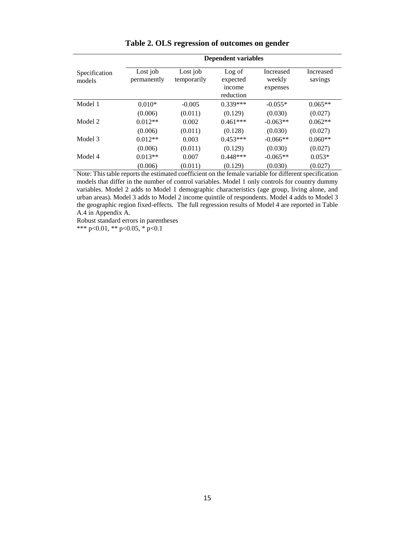|                         | <b>Dependent variables</b> |                         |                                           |                                 |                      |  |  |  |  |
|-------------------------|----------------------------|-------------------------|-------------------------------------------|---------------------------------|----------------------|--|--|--|--|
| Specification<br>models | Lost job<br>permanently    | Lost job<br>temporarily | Log of<br>expected<br>income<br>reduction | Increased<br>weekly<br>expenses | Increased<br>savings |  |  |  |  |
| Model 1                 | $0.010*$                   | $-0.005$                | $0.339***$                                | $-0.055*$                       | $0.065**$            |  |  |  |  |
|                         | (0.006)                    | (0.011)                 | (0.129)                                   | (0.030)                         | (0.027)              |  |  |  |  |
| Model 2                 | $0.012**$                  | 0.002                   | $0.461***$                                | $-0.063**$                      | $0.062**$            |  |  |  |  |
|                         | (0.006)                    | (0.011)                 | (0.128)                                   | (0.030)                         | (0.027)              |  |  |  |  |
| Model 3                 | $0.012**$                  | 0.003                   | $0.453***$                                | $-0.066**$                      | $0.060**$            |  |  |  |  |
|                         | (0.006)                    | (0.011)                 | (0.129)                                   | (0.030)                         | (0.027)              |  |  |  |  |
| Model 4                 | $0.013**$                  | 0.007                   | $0.448***$                                | $-0.065**$                      | $0.053*$             |  |  |  |  |
|                         | (0.006)                    | (0.011)                 | (0.129)                                   | (0.030)                         | (0.027)              |  |  |  |  |

**Table 2. OLS regression of outcomes on gender**

Note: This table reports the estimated coefficient on the female variable for different specification models that differ in the number of control variables. Model 1 only controls for country dummy variables. Model 2 adds to Model 1 demographic characteristics (age group, living alone, and urban areas). Model 3 adds to Model 2 income quintile of respondents. Model 4 adds to Model 3 the geographic region fixed-effects. The full regression results of Model 4 are reported in Table A.4 in Appendix A.

Robust standard errors in parentheses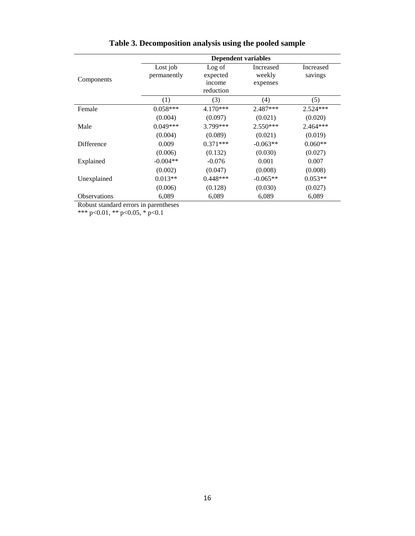|                     |                         | Dependent variables                       |                                 |                      |  |  |  |  |  |  |
|---------------------|-------------------------|-------------------------------------------|---------------------------------|----------------------|--|--|--|--|--|--|
| Components          | Lost job<br>permanently | Log of<br>expected<br>income<br>reduction | Increased<br>weekly<br>expenses | Increased<br>savings |  |  |  |  |  |  |
|                     | (1)                     | (3)                                       | (4)                             | (5)                  |  |  |  |  |  |  |
| Female              | $0.058***$              | $4.170***$                                | 2.487***                        | $2.524***$           |  |  |  |  |  |  |
|                     | (0.004)                 | (0.097)                                   | (0.021)                         | (0.020)              |  |  |  |  |  |  |
| Male                | $0.049***$              | 3.799***                                  | $2.550***$                      | 2.464***             |  |  |  |  |  |  |
|                     | (0.004)                 | (0.089)                                   | (0.021)                         | (0.019)              |  |  |  |  |  |  |
| <b>Difference</b>   | 0.009                   | $0.371***$                                | $-0.063**$                      | $0.060**$            |  |  |  |  |  |  |
|                     | (0.006)                 | (0.132)                                   | (0.030)                         | (0.027)              |  |  |  |  |  |  |
| Explained           | $-0.004**$              | $-0.076$                                  | 0.001                           | 0.007                |  |  |  |  |  |  |
|                     | (0.002)                 | (0.047)                                   | (0.008)                         | (0.008)              |  |  |  |  |  |  |
| Unexplained         | $0.013**$               | $0.448***$                                | $-0.065**$                      | $0.053**$            |  |  |  |  |  |  |
|                     | (0.006)                 | (0.128)                                   | (0.030)                         | (0.027)              |  |  |  |  |  |  |
| <b>Observations</b> | 6,089                   | 6,089                                     | 6,089                           | 6,089                |  |  |  |  |  |  |

| Table 3. Decomposition analysis using the pooled sample |  |  |  |  |  |  |  |
|---------------------------------------------------------|--|--|--|--|--|--|--|
|---------------------------------------------------------|--|--|--|--|--|--|--|

Robust standard errors in parentheses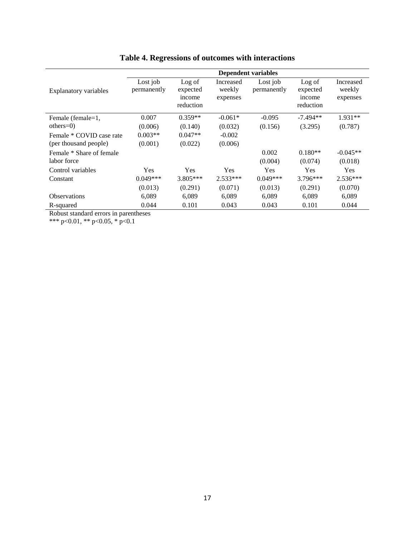|                              | <b>Dependent variables</b> |                                           |                                 |                         |                                           |                                 |  |  |  |
|------------------------------|----------------------------|-------------------------------------------|---------------------------------|-------------------------|-------------------------------------------|---------------------------------|--|--|--|
| <b>Explanatory variables</b> | Lost job<br>permanently    | Log of<br>expected<br>income<br>reduction | Increased<br>weekly<br>expenses | Lost job<br>permanently | Log of<br>expected<br>income<br>reduction | Increased<br>weekly<br>expenses |  |  |  |
| Female (female=1,            | 0.007                      | $0.359**$                                 | $-0.061*$                       | $-0.095$                | $-7.494**$                                | 1.931**                         |  |  |  |
| $others=0)$                  | (0.006)                    | (0.140)                                   | (0.032)                         | (0.156)                 | (3.295)                                   | (0.787)                         |  |  |  |
| Female * COVID case rate     | $0.003**$                  | $0.047**$                                 | $-0.002$                        |                         |                                           |                                 |  |  |  |
| (per thousand people)        | (0.001)                    | (0.022)                                   | (0.006)                         |                         |                                           |                                 |  |  |  |
| Female * Share of female     |                            |                                           |                                 | 0.002                   | $0.180**$                                 | $-0.045**$                      |  |  |  |
| labor force                  |                            |                                           |                                 | (0.004)                 | (0.074)                                   | (0.018)                         |  |  |  |
| Control variables            | Yes                        | Yes                                       | Yes                             | Yes                     | Yes                                       | Yes                             |  |  |  |
| Constant                     | $0.049***$                 | $3.805***$                                | $2.533***$                      | $0.049***$              | $3.796***$                                | $2.536***$                      |  |  |  |
|                              | (0.013)                    | (0.291)                                   | (0.071)                         | (0.013)                 | (0.291)                                   | (0.070)                         |  |  |  |
| <b>Observations</b>          | 6,089                      | 6,089                                     | 6,089                           | 6,089                   | 6,089                                     | 6,089                           |  |  |  |
| R-squared                    | 0.044                      | 0.101                                     | 0.043                           | 0.043                   | 0.101                                     | 0.044                           |  |  |  |

|  | Table 4. Regressions of outcomes with interactions |  |  |  |
|--|----------------------------------------------------|--|--|--|
|--|----------------------------------------------------|--|--|--|

Robust standard errors in parentheses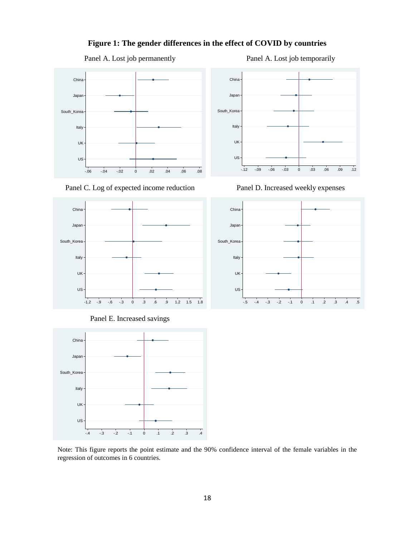











# Panel A. Lost job permanently Panel A. Lost job temporarily China Japan

**Figure 1: The gender differences in the effect of COVID by countries**



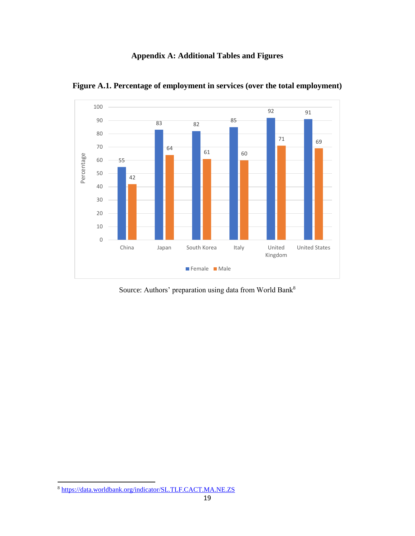### **Appendix A: Additional Tables and Figures**



**Figure A.1. Percentage of employment in services (over the total employment)**

Source: Authors' preparation using data from World Bank<sup>8</sup>

 $\overline{a}$ 

<https://data.worldbank.org/indicator/SL.TLF.CACT.MA.NE.ZS>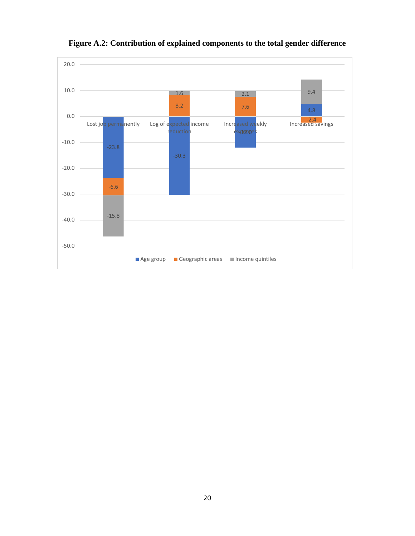

**Figure A.2: Contribution of explained components to the total gender difference**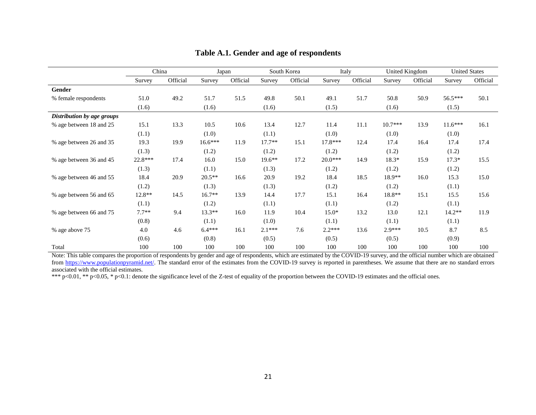|                            | China   |          | Japan     |          |          | South Korea | Italy     |          |           | United Kingdom |           | <b>United States</b> |
|----------------------------|---------|----------|-----------|----------|----------|-------------|-----------|----------|-----------|----------------|-----------|----------------------|
|                            | Survey  | Official | Survey    | Official | Survey   | Official    | Survey    | Official | Survey    | Official       | Survey    | Official             |
| Gender                     |         |          |           |          |          |             |           |          |           |                |           |                      |
| % female respondents       | 51.0    | 49.2     | 51.7      | 51.5     | 49.8     | 50.1        | 49.1      | 51.7     | 50.8      | 50.9           | 56.5***   | 50.1                 |
|                            | (1.6)   |          | (1.6)     |          | (1.6)    |             | (1.5)     |          | (1.6)     |                | (1.5)     |                      |
| Distribution by age groups |         |          |           |          |          |             |           |          |           |                |           |                      |
| % age between 18 and 25    | 15.1    | 13.3     | 10.5      | 10.6     | 13.4     | 12.7        | 11.4      | 11.1     | $10.7***$ | 13.9           | $11.6***$ | 16.1                 |
|                            | (1.1)   |          | (1.0)     |          | (1.1)    |             | (1.0)     |          | (1.0)     |                | (1.0)     |                      |
| % age between 26 and 35    | 19.3    | 19.9     | $16.6***$ | 11.9     | $17.7**$ | 15.1        | 17.8***   | 12.4     | 17.4      | 16.4           | 17.4      | 17.4                 |
|                            | (1.3)   |          | (1.2)     |          | (1.2)    |             | (1.2)     |          | (1.2)     |                | (1.2)     |                      |
| % age between 36 and 45    | 22.8*** | 17.4     | 16.0      | 15.0     | 19.6**   | 17.2        | $20.0***$ | 14.9     | $18.3*$   | 15.9           | $17.3*$   | 15.5                 |
|                            | (1.3)   |          | (1.1)     |          | (1.3)    |             | (1.2)     |          | (1.2)     |                | (1.2)     |                      |
| % age between 46 and 55    | 18.4    | 20.9     | $20.5**$  | 16.6     | 20.9     | 19.2        | 18.4      | 18.5     | 18.9**    | 16.0           | 15.3      | 15.0                 |
|                            | (1.2)   |          | (1.3)     |          | (1.3)    |             | (1.2)     |          | (1.2)     |                | (1.1)     |                      |
| % age between 56 and 65    | 12.8**  | 14.5     | $16.7**$  | 13.9     | 14.4     | 17.7        | 15.1      | 16.4     | 18.8**    | 15.1           | 15.5      | 15.6                 |
|                            | (1.1)   |          | (1.2)     |          | (1.1)    |             | (1.1)     |          | (1.2)     |                | (1.1)     |                      |
| % age between 66 and 75    | $7.7**$ | 9.4      | $13.3**$  | 16.0     | 11.9     | 10.4        | $15.0*$   | 13.2     | 13.0      | 12.1           | $14.2**$  | 11.9                 |
|                            | (0.8)   |          | (1.1)     |          | (1.0)    |             | (1.1)     |          | (1.1)     |                | (1.1)     |                      |
| % age above 75             | 4.0     | 4.6      | $6.4***$  | 16.1     | $2.1***$ | 7.6         | $2.2***$  | 13.6     | $2.9***$  | 10.5           | 8.7       | 8.5                  |
|                            | (0.6)   |          | (0.8)     |          | (0.5)    |             | (0.5)     |          | (0.5)     |                | (0.9)     |                      |
| Total                      | 100     | 100      | 100       | 100      | 100      | 100         | 100       | 100      | 100       | 100            | 100       | 100                  |

### **Table A.1. Gender and age of respondents**

Note: This table compares the proportion of respondents by gender and age of respondents, which are estimated by the COVID-19 survey, and the official number which are obtained from [https://www.populationpyramid.net/.](https://www.populationpyramid.net/) The standard error of the estimates from the COVID-19 survey is reported in parentheses. We assume that there are no standard errors associated with the official estimates.

\*\*\*  $p<0.01$ , \*\*  $p<0.05$ , \*  $p<0.1$ : denote the significance level of the Z-test of equality of the proportion between the COVID-19 estimates and the official ones.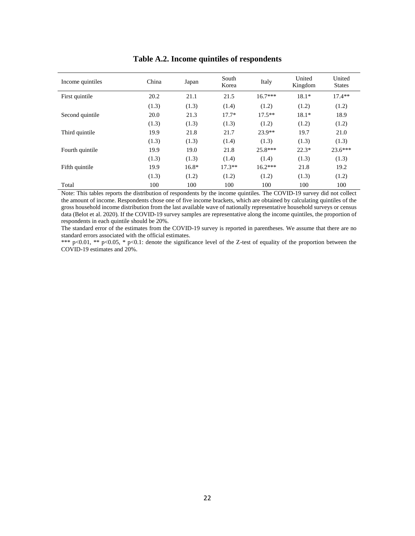| Income quintiles | China | Japan   | South<br>Korea | Italy     | United<br>Kingdom | United<br><b>States</b> |
|------------------|-------|---------|----------------|-----------|-------------------|-------------------------|
| First quintile   | 20.2  | 21.1    | 21.5           | $16.7***$ | $18.1*$           | $17.4**$                |
|                  | (1.3) | (1.3)   | (1.4)          | (1.2)     | (1.2)             | (1.2)                   |
| Second quintile  | 20.0  | 21.3    | $17.7*$        | $17.5**$  | $18.1*$           | 18.9                    |
|                  | (1.3) | (1.3)   | (1.3)          | (1.2)     | (1.2)             | (1.2)                   |
| Third quintile   | 19.9  | 21.8    | 21.7           | $23.9**$  | 19.7              | 21.0                    |
|                  | (1.3) | (1.3)   | (1.4)          | (1.3)     | (1.3)             | (1.3)                   |
| Fourth quintile  | 19.9  | 19.0    | 21.8           | $25.8***$ | $22.3*$           | $23.6***$               |
|                  | (1.3) | (1.3)   | (1.4)          | (1.4)     | (1.3)             | (1.3)                   |
| Fifth quintile   | 19.9  | $16.8*$ | $17.3**$       | $16.2***$ | 21.8              | 19.2                    |
|                  | (1.3) | (1.2)   | (1.2)          | (1.2)     | (1.3)             | (1.2)                   |
| Total            | 100   | 100     | 100            | 100       | 100               | 100                     |

#### **Table A.2. Income quintiles of respondents**

Note: This tables reports the distribution of respondents by the income quintiles. The COVID-19 survey did not collect the amount of income. Respondents chose one of five income brackets, which are obtained by calculating quintiles of the gross household income distribution from the last available wave of nationally representative household surveys or census data (Belot et al. 2020). If the COVID-19 survey samples are representative along the income quintiles, the proportion of respondents in each quintile should be 20%.

The standard error of the estimates from the COVID-19 survey is reported in parentheses. We assume that there are no standard errors associated with the official estimates.

\*\*\* p<0.01, \*\* p<0.05, \* p<0.1: denote the significance level of the Z-test of equality of the proportion between the COVID-19 estimates and 20%.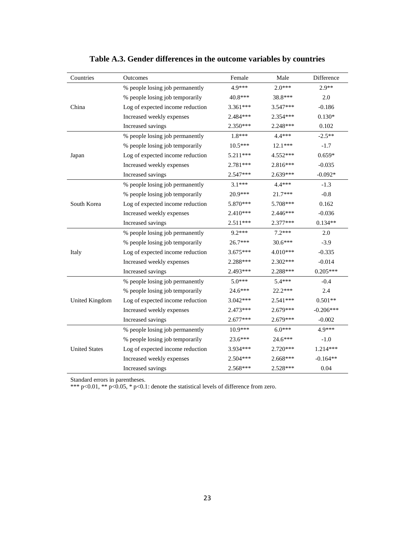| Countries            | Outcomes                         | Female     | Male       | Difference  |
|----------------------|----------------------------------|------------|------------|-------------|
|                      | % people losing job permanently  | 4.9***     | $2.0***$   | $2.9**$     |
|                      | % people losing job temporarily  | 40.8***    | 38.8***    | 2.0         |
| China                | Log of expected income reduction | 3.361***   | 3.547***   | $-0.186$    |
|                      | Increased weekly expenses        | 2.484 ***  | 2.354***   | $0.130*$    |
|                      | Increased savings                | 2.350***   | 2.248***   | 0.102       |
|                      | % people losing job permanently  | $1.8***$   | $4.4***$   | $-2.5**$    |
|                      | % people losing job temporarily  | $10.5***$  | $12.1***$  | $-1.7$      |
| Japan                | Log of expected income reduction | 5.211***   | 4.552***   | $0.659*$    |
|                      | Increased weekly expenses        | 2.781***   | 2.816***   | $-0.035$    |
|                      | Increased savings                | 2.547***   | 2.639***   | $-0.092*$   |
|                      | % people losing job permanently  | $3.1***$   | $4.4***$   | $-1.3$      |
|                      | % people losing job temporarily  | $20.9***$  | $21.7***$  | $-0.8$      |
| South Korea          | Log of expected income reduction | 5.870***   | 5.708***   | 0.162       |
|                      | Increased weekly expenses        | $2.410***$ | 2.446***   | $-0.036$    |
|                      | Increased savings                | $2.511***$ | 2.377***   | $0.134**$   |
|                      | % people losing job permanently  | 9.2***     | $7.2***$   | 2.0         |
|                      | % people losing job temporarily  | $26.7***$  | $30.6***$  | $-3.9$      |
| Italy                | Log of expected income reduction | $3.675***$ | 4.010***   | $-0.335$    |
|                      | Increased weekly expenses        | 2.288***   | 2.302***   | $-0.014$    |
|                      | Increased savings                | 2.493***   | 2.288***   | $0.205***$  |
|                      | % people losing job permanently  | $5.0***$   | $5.4***$   | $-0.4$      |
|                      | % people losing job temporarily  | $24.6***$  | $22.2***$  | 2.4         |
| United Kingdom       | Log of expected income reduction | 3.042***   | $2.541***$ | $0.501**$   |
|                      | Increased weekly expenses        | $2.473***$ | 2.679***   | $-0.206***$ |
|                      | Increased savings                | $2.677***$ | $2.679***$ | $-0.002$    |
|                      | % people losing job permanently  | $10.9***$  | $6.0***$   | 4.9***      |
|                      | % people losing job temporarily  | $23.6***$  | $24.6***$  | $-1.0$      |
| <b>United States</b> | Log of expected income reduction | 3.934***   | 2.720***   | 1.214***    |
|                      | Increased weekly expenses        | $2.504***$ | $2.668***$ | $-0.164**$  |
|                      | Increased savings                | 2.568***   | 2.528***   | 0.04        |

### **Table A.3. Gender differences in the outcome variables by countries**

Standard errors in parentheses.

\*\*\*  $p<0.01$ , \*\*  $p<0.05$ , \*  $p<0.1$ : denote the statistical levels of difference from zero.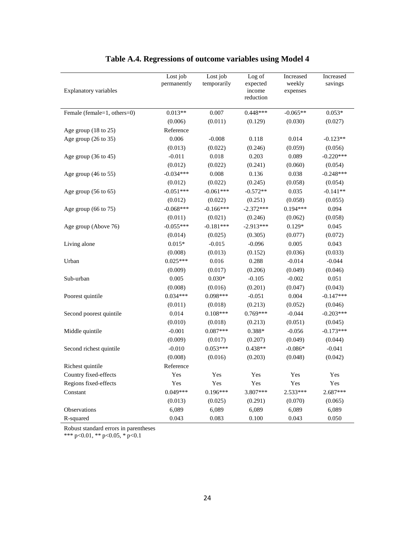| Explanatory variables           | Lost job<br>permanently | Lost job<br>temporarily | Log of<br>expected<br>income<br>reduction | Increased<br>weekly<br>expenses | Increased<br>savings |
|---------------------------------|-------------------------|-------------------------|-------------------------------------------|---------------------------------|----------------------|
| Female (female=1, others=0)     | $0.013**$               | 0.007                   | $0.448***$                                | $-0.065**$                      | $0.053*$             |
|                                 | (0.006)                 | (0.011)                 | (0.129)                                   | (0.030)                         | (0.027)              |
| Age group (18 to 25)            | Reference               |                         |                                           |                                 |                      |
| Age group $(26 \text{ to } 35)$ | 0.006                   | $-0.008$                | 0.118                                     | 0.014                           | $-0.123**$           |
|                                 | (0.013)                 | (0.022)                 | (0.246)                                   | (0.059)                         | (0.056)              |
| Age group (36 to 45)            | $-0.011$                | 0.018                   | 0.203                                     | 0.089                           | $-0.220***$          |
|                                 | (0.012)                 | (0.022)                 | (0.241)                                   | (0.060)                         | (0.054)              |
| Age group $(46 \text{ to } 55)$ | $-0.034***$             | 0.008                   | 0.136                                     | 0.038                           | $-0.248***$          |
|                                 | (0.012)                 | (0.022)                 | (0.245)                                   | (0.058)                         | (0.054)              |
| Age group $(56 \text{ to } 65)$ | $-0.051***$             | $-0.061***$             | $-0.572**$                                | 0.035                           | $-0.141**$           |
|                                 | (0.012)                 | (0.022)                 | (0.251)                                   | (0.058)                         | (0.055)              |
| Age group (66 to 75)            | $-0.068***$             | $-0.166***$             | $-2.372***$                               | $0.194***$                      | 0.094                |
|                                 | (0.011)                 | (0.021)                 | (0.246)                                   | (0.062)                         | (0.058)              |
| Age group (Above 76)            | $-0.055***$             | $-0.181***$             | $-2.913***$                               | $0.129*$                        | 0.045                |
|                                 | (0.014)                 | (0.025)                 | (0.305)                                   | (0.077)                         | (0.072)              |
| Living alone                    | $0.015*$                | $-0.015$                | $-0.096$                                  | 0.005                           | 0.043                |
|                                 | (0.008)                 | (0.013)                 | (0.152)                                   | (0.036)                         | (0.033)              |
| Urban                           | $0.025***$              | 0.016                   | 0.288                                     | $-0.014$                        | $-0.044$             |
|                                 | (0.009)                 | (0.017)                 | (0.206)                                   | (0.049)                         | (0.046)              |
| Sub-urban                       | 0.005                   | $0.030*$                | $-0.105$                                  | $-0.002$                        | 0.051                |
|                                 | (0.008)                 | (0.016)                 | (0.201)                                   | (0.047)                         | (0.043)              |
| Poorest quintile                | $0.034***$              | $0.098***$              | $-0.051$                                  | 0.004                           | $-0.147***$          |
|                                 | (0.011)                 | (0.018)                 | (0.213)                                   | (0.052)                         | (0.046)              |
| Second poorest quintile         | 0.014                   | $0.108***$              | $0.769***$                                | $-0.044$                        | $-0.203***$          |
|                                 | (0.010)                 | (0.018)                 | (0.213)                                   | (0.051)                         | (0.045)              |
| Middle quintile                 | $-0.001$                | $0.087***$              | $0.388*$                                  | $-0.056$                        | $-0.173***$          |
|                                 | (0.009)                 | (0.017)                 | (0.207)                                   | (0.049)                         | (0.044)              |
| Second richest quintile         | $-0.010$                | $0.053***$              | $0.438**$                                 | $-0.086*$                       | $-0.041$             |
|                                 | (0.008)                 | (0.016)                 | (0.203)                                   | (0.048)                         | (0.042)              |
| Richest quintile                | Reference               |                         |                                           |                                 |                      |
| Country fixed-effects           | Yes                     | Yes                     | Yes                                       | Yes                             | Yes                  |
| Regions fixed-effects           | Yes                     | Yes                     | Yes                                       | Yes                             | Yes                  |
| Constant                        | $0.049***$              | $0.196***$              | 3.807***                                  | 2.533***                        | 2.687***             |
|                                 | (0.013)                 | (0.025)                 | (0.291)                                   | (0.070)                         | (0.065)              |
| Observations                    | 6,089                   | 6,089                   | 6,089                                     | 6,089                           | 6,089                |
| R-squared                       | 0.043                   | 0.083                   | 0.100                                     | 0.043                           | 0.050                |

### **Table A.4. Regressions of outcome variables using Model 4**

Robust standard errors in parentheses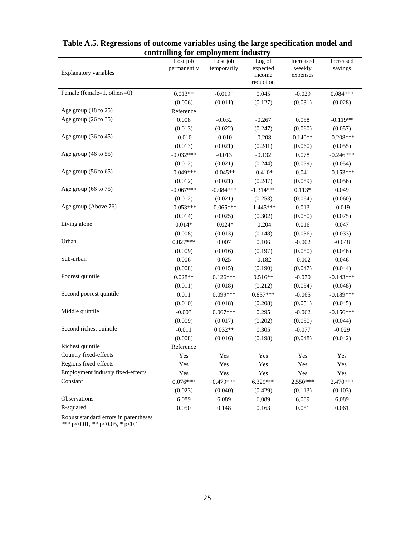| сопитонинg тог енгрюушент писияту |                         |                         |                                           |                                 |                      |  |  |  |  |
|-----------------------------------|-------------------------|-------------------------|-------------------------------------------|---------------------------------|----------------------|--|--|--|--|
| Explanatory variables             | Lost job<br>permanently | Lost job<br>temporarily | Log of<br>expected<br>income<br>reduction | Increased<br>weekly<br>expenses | Increased<br>savings |  |  |  |  |
| Female (female=1, others=0)       | $0.013**$               | $-0.019*$               | 0.045                                     | $-0.029$                        | $0.084***$           |  |  |  |  |
|                                   | (0.006)                 | (0.011)                 | (0.127)                                   | (0.031)                         | (0.028)              |  |  |  |  |
| Age group (18 to 25)              | Reference               |                         |                                           |                                 |                      |  |  |  |  |
| Age group (26 to 35)              | 0.008                   | $-0.032$                | $-0.267$                                  | 0.058                           | $-0.119**$           |  |  |  |  |
|                                   | (0.013)                 | (0.022)                 | (0.247)                                   | (0.060)                         | (0.057)              |  |  |  |  |
| Age group (36 to 45)              | $-0.010$                | $-0.010$                | $-0.208$                                  | $0.140**$                       | $-0.208***$          |  |  |  |  |
|                                   | (0.013)                 | (0.021)                 | (0.241)                                   | (0.060)                         | (0.055)              |  |  |  |  |
| Age group (46 to 55)              | $-0.032***$             | $-0.013$                | $-0.132$                                  | 0.078                           | $-0.246***$          |  |  |  |  |
|                                   | (0.012)                 | (0.021)                 | (0.244)                                   | (0.059)                         | (0.054)              |  |  |  |  |
| Age group $(56 \text{ to } 65)$   | $-0.049***$             | $-0.045**$              | $-0.410*$                                 | 0.041                           | $-0.153***$          |  |  |  |  |
|                                   | (0.012)                 | (0.021)                 | (0.247)                                   | (0.059)                         | (0.056)              |  |  |  |  |
| Age group $(66 \text{ to } 75)$   | $-0.067***$             | $-0.084***$             | $-1.314***$                               | $0.113*$                        | 0.049                |  |  |  |  |
|                                   | (0.012)                 | (0.021)                 | (0.253)                                   | (0.064)                         | (0.060)              |  |  |  |  |
| Age group (Above 76)              | $-0.053***$             | $-0.065***$             | $-1.445***$                               | 0.013                           | $-0.019$             |  |  |  |  |
|                                   | (0.014)                 | (0.025)                 | (0.302)                                   | (0.080)                         | (0.075)              |  |  |  |  |
| Living alone                      | $0.014*$                | $-0.024*$               | $-0.204$                                  | 0.016                           | 0.047                |  |  |  |  |
|                                   | (0.008)                 | (0.013)                 | (0.148)                                   | (0.036)                         | (0.033)              |  |  |  |  |
| Urban                             | $0.027***$              | 0.007                   | 0.106                                     | $-0.002$                        | $-0.048$             |  |  |  |  |
|                                   | (0.009)                 | (0.016)                 | (0.197)                                   | (0.050)                         | (0.046)              |  |  |  |  |
| Sub-urban                         | 0.006                   | 0.025                   | $-0.182$                                  | $-0.002$                        | 0.046                |  |  |  |  |
|                                   | (0.008)                 | (0.015)                 | (0.190)                                   | (0.047)                         | (0.044)              |  |  |  |  |
| Poorest quintile                  | $0.028**$               | $0.126***$              | $0.516**$                                 | $-0.070$                        | $-0.143***$          |  |  |  |  |
|                                   | (0.011)                 | (0.018)                 | (0.212)                                   | (0.054)                         | (0.048)              |  |  |  |  |
| Second poorest quintile           | 0.011                   | 0.099***                | 0.837***                                  | $-0.065$                        | $-0.189***$          |  |  |  |  |
|                                   | (0.010)                 | (0.018)                 | (0.208)                                   | (0.051)                         | (0.045)              |  |  |  |  |
| Middle quintile                   | $-0.003$                | $0.067***$              | 0.295                                     | $-0.062$                        | $-0.156***$          |  |  |  |  |
|                                   | (0.009)                 | (0.017)                 | (0.202)                                   | (0.050)                         | (0.044)              |  |  |  |  |
| Second richest quintile           | $-0.011$                | $0.032**$               | 0.305                                     | $-0.077$                        | $-0.029$             |  |  |  |  |
|                                   | (0.008)                 | (0.016)                 | (0.198)                                   | (0.048)                         | (0.042)              |  |  |  |  |
| Richest quintile                  | Reference               |                         |                                           |                                 |                      |  |  |  |  |
| Country fixed-effects             | Yes                     | Yes                     | Yes                                       | Yes                             | Yes                  |  |  |  |  |
| Regions fixed-effects             | Yes                     | Yes                     | Yes                                       | Yes                             | Yes                  |  |  |  |  |
| Employment industry fixed-effects | Yes                     | Yes                     | Yes                                       | Yes                             | Yes                  |  |  |  |  |
| Constant                          | $0.076***$              | 0.479***                | 6.329***                                  | 2.550***                        | 2.470***             |  |  |  |  |
|                                   | (0.023)                 | (0.040)                 | (0.429)                                   | (0.113)                         | (0.103)              |  |  |  |  |
| Observations                      | 6,089                   | 6,089                   | 6,089                                     | 6,089                           | 6,089                |  |  |  |  |
| R-squared                         | 0.050                   | 0.148                   | 0.163                                     | 0.051                           | 0.061                |  |  |  |  |

### **Table A.5. Regressions of outcome variables using the large specification model and controlling for employment industry**

Robust standard errors in parentheses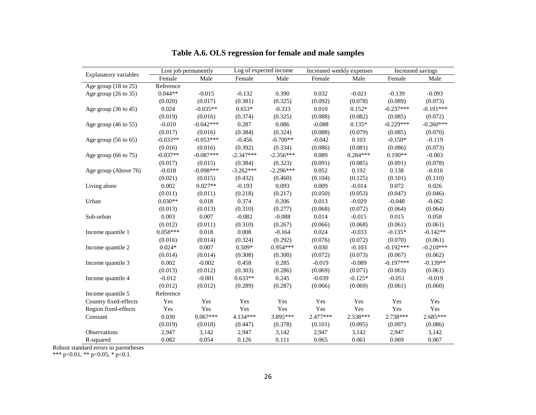| <b>Explanatory variables</b>    | Lost job permanently |             | Log of expected income |             |          | Increased weekly expenses | Increased savings |             |
|---------------------------------|----------------------|-------------|------------------------|-------------|----------|---------------------------|-------------------|-------------|
|                                 | Female               | Male        | Female                 | Male        | Female   | Male                      | Female            | Male        |
| Age group (18 to 25)            | Reference            |             |                        |             |          |                           |                   |             |
| Age group $(26 \text{ to } 35)$ | $0.044**$            | $-0.015$    | $-0.132$               | 0.390       | 0.032    | $-0.021$                  | $-0.139$          | $-0.093$    |
|                                 | (0.020)              | (0.017)     | (0.381)                | (0.325)     | (0.092)  | (0.078)                   | (0.089)           | (0.073)     |
| Age group (36 to 45)            | 0.024                | $-0.035**$  | $0.653*$               | $-0.333$    | 0.010    | $0.152*$                  | $-0.237***$       | $-0.191***$ |
|                                 | (0.019)              | (0.016)     | (0.374)                | (0.325)     | (0.088)  | (0.082)                   | (0.085)           | (0.072)     |
| Age group (46 to 55)            | $-0.010$             | $-0.042***$ | 0.287                  | 0.086       | $-0.088$ | $0.135*$                  | $-0.229***$       | $-0.260***$ |
|                                 | (0.017)              | (0.016)     | (0.384)                | (0.324)     | (0.088)  | (0.079)                   | (0.085)           | (0.070)     |
| Age group $(56 \text{ to } 65)$ | $-0.033**$           | $-0.053***$ | $-0.456$               | $-0.700**$  | $-0.042$ | 0.103                     | $-0.150*$         | $-0.119$    |
|                                 | (0.016)              | (0.016)     | (0.392)                | (0.334)     | (0.086)  | (0.081)                   | (0.086)           | (0.073)     |
| Age group (66 to 75)            | $-0.037**$           | $-0.087***$ | $-2.347***$            | $-2.356***$ | 0.089    | $0.284***$                | $0.190**$         | $-0.003$    |
|                                 | (0.017)              | (0.015)     | (0.384)                | (0.323)     | (0.091)  | (0.085)                   | (0.091)           | (0.078)     |
| Age group (Above 76)            | $-0.018$             | $-0.098***$ | $-3.262***$            | $-2.296***$ | 0.052    | 0.192                     | 0.138             | $-0.016$    |
|                                 | (0.021)              | (0.015)     | (0.432)                | (0.460)     | (0.104)  | (0.125)                   | (0.101)           | (0.110)     |
| Living alone                    | 0.002                | $0.027**$   | $-0.193$               | 0.093       | 0.009    | $-0.014$                  | 0.072             | 0.026       |
|                                 | (0.011)              | (0.011)     | (0.218)                | (0.217)     | (0.050)  | (0.053)                   | (0.047)           | (0.046)     |
| Urban                           | $0.030**$            | 0.018       | 0.374                  | 0.206       | 0.013    | $-0.029$                  | $-0.048$          | $-0.062$    |
|                                 | (0.013)              | (0.013)     | (0.310)                | (0.277)     | (0.068)  | (0.072)                   | (0.064)           | (0.064)     |
| Sub-urban                       | 0.003                | 0.007       | $-0.082$               | $-0.088$    | 0.014    | $-0.015$                  | 0.015             | 0.058       |
|                                 | (0.012)              | (0.011)     | (0.310)                | (0.267)     | (0.066)  | (0.068)                   | (0.061)           | (0.061)     |
| Income quantile 1               | $0.058***$           | 0.018       | 0.008                  | $-0.164$    | 0.024    | $-0.033$                  | $-0.135*$         | $-0.142**$  |
|                                 | (0.016)              | (0.014)     | (0.324)                | (0.292)     | (0.076)  | (0.072)                   | (0.070)           | (0.061)     |
| Income quantile 2               | $0.024*$             | 0.007       | $0.509*$               | $0.954***$  | 0.030    | $-0.103$                  | $-0.192***$       | $-0.210***$ |
|                                 | (0.014)              | (0.014)     | (0.308)                | (0.300)     | (0.072)  | (0.073)                   | (0.067)           | (0.062)     |
| Income quantile 3               | 0.002                | $-0.002$    | 0.458                  | 0.285       | $-0.019$ | $-0.089$                  | $-0.197***$       | $-0.139**$  |
|                                 | (0.013)              | (0.012)     | (0.303)                | (0.286)     | (0.069)  | (0.071)                   | (0.063)           | (0.061)     |
| Income quantile 4               | $-0.012$             | $-0.001$    | $0.633**$              | 0.245       | $-0.039$ | $-0.125*$                 | $-0.051$          | $-0.019$    |
|                                 | (0.012)              | (0.012)     | (0.289)                | (0.287)     | (0.066)  | (0.069)                   | (0.061)           | (0.060)     |
| Income quantile 5               | Reference            |             |                        |             |          |                           |                   |             |
| Country fixed-effects           | Yes                  | Yes         | Yes                    | Yes         | Yes      | Yes                       | Yes               | Yes         |
| Region fixed-effects            | Yes                  | Yes         | Yes                    | Yes         | Yes      | Yes                       | Yes               | Yes         |
| Constant                        | 0.030                | $0.067***$  | 4.134***               | 3.895***    | 2.477*** | $2.538***$                | 2.738***          | 2.685***    |
|                                 | (0.019)              | (0.018)     | (0.447)                | (0.378)     | (0.101)  | (0.095)                   | (0.097)           | (0.086)     |
| Observations                    | 2,947                | 3,142       | 2,947                  | 3,142       | 2,947    | 3,142                     | 2,947             | 3,142       |
| R-squared                       | 0.082                | 0.054       | 0.126                  | 0.111       | 0.065    | 0.061                     | 0.069             | 0.067       |

**Table A.6. OLS regression for female and male samples**

Robust standard errors in parentheses